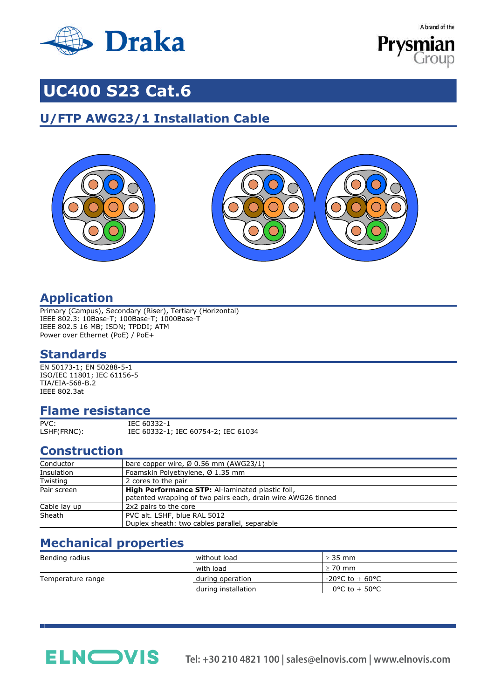

A brand of the



## **UC400 S23 Cat.6**

## **U/FTP AWG23/1 Installation Cable**





## **Application**

Primary (Campus), Secondary (Riser), Tertiary (Horizontal) IEEE 802.3: 10Base-T; 100Base-T; 1000Base-T IEEE 802.5 16 MB; ISDN; TPDDI; ATM Power over Ethernet (PoE) / PoE+

## **Standards**

EN 50173-1; EN 50288-5-1 ISO/IEC 11801; IEC 61156-5 TIA/EIA-568-B.2 IEEE 802.3at

## **Flame resistance**

PVC: IEC 60332-1<br>
LSHF(FRNC): IEC 60332-1;

IEC 60332-1; IEC 60754-2; IEC 61034

## **Construction**

| Conductor    | bare copper wire, $\varnothing$ 0.56 mm (AWG23/1)                                                                       |  |  |  |  |
|--------------|-------------------------------------------------------------------------------------------------------------------------|--|--|--|--|
| Insulation   | Foamskin Polyethylene, Ø 1.35 mm                                                                                        |  |  |  |  |
| Twisting     | 2 cores to the pair                                                                                                     |  |  |  |  |
| Pair screen  | <b>High Performance STP:</b> Al-laminated plastic foil,<br>patented wrapping of two pairs each, drain wire AWG26 tinned |  |  |  |  |
| Cable lay up | 2x2 pairs to the core                                                                                                   |  |  |  |  |
| Sheath       | PVC alt. LSHF, blue RAL 5012<br>Duplex sheath: two cables parallel, separable                                           |  |  |  |  |

## **Mechanical properties**

**ELN**OVIS

| Bending radius    | without load        | $\geq$ 35 mm                         |  |
|-------------------|---------------------|--------------------------------------|--|
|                   | with load           | $> 70$ mm                            |  |
| Temperature range | during operation    | $-20^{\circ}$ C to + 60 $^{\circ}$ C |  |
|                   | during installation | $0^{\circ}$ C to + 50 $^{\circ}$ C   |  |

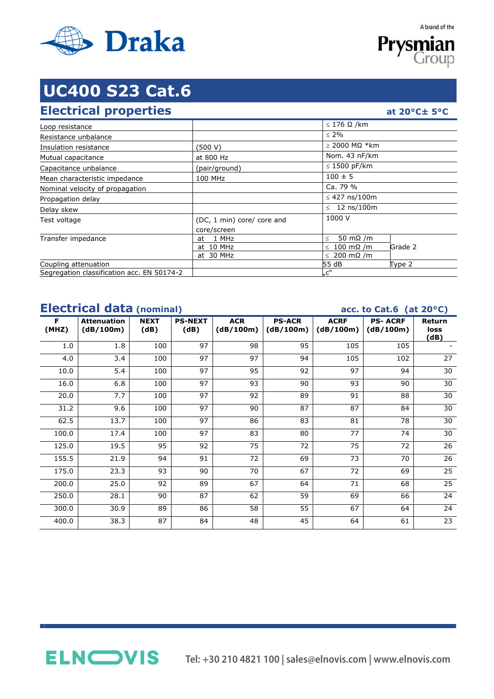

**Prysmian** Group

A brand of the

# **UC400 S23 Cat.6**

### **Electrical properties at 20°C± 5°C**

| Loop resistance                            |                            | $\leq$ 176 $\Omega$ /km     |         |
|--------------------------------------------|----------------------------|-----------------------------|---------|
| Resistance unbalance                       |                            | $\leq 2\%$                  |         |
| Insulation resistance                      | (500 V)                    | $\geq$ 2000 MΩ *km          |         |
| Mutual capacitance                         | at 800 Hz                  | Nom. 43 nF/km               |         |
| Capacitance unbalance                      | (pair/ground)              | $\leq$ 1500 pF/km           |         |
| Mean characteristic impedance              | 100 MHz                    | $100 \pm 5$                 |         |
| Nominal velocity of propagation            |                            | Ca. 79 %                    |         |
| Propagation delay                          |                            | $\leq$ 427 ns/100m          |         |
| Delay skew                                 |                            | $\leq 12$ ns/100m           |         |
| Test voltage                               | (DC, 1 min) core/ core and | 1000 V                      |         |
|                                            | core/screen                |                             |         |
| Transfer impedance                         | 1 MHz<br>at                | 50 m $\Omega$ /m<br>$\,<\,$ |         |
|                                            | at 10 MHz                  | $\leq 100$ m $\Omega$ /m    | Grade 2 |
|                                            | at 30 MHz                  | $\leq 200$ m $\Omega$ /m    |         |
| Coupling attenuation                       |                            | 55 dB                       | Type 2  |
| Segregation classification acc. EN 50174-2 |                            | "c"                         |         |

## **Electrical data (nominal) acc. to Cat.6 (at 20°C)**

|            | $\frac{1}{2}$<br>$\sim$ $\sim$<br>$\sim -1$ |                     |                        |                         |                            |                          |                             |                        |
|------------|---------------------------------------------|---------------------|------------------------|-------------------------|----------------------------|--------------------------|-----------------------------|------------------------|
| F<br>(MHZ) | <b>Attenuation</b><br>(dB/100m)             | <b>NEXT</b><br>(dB) | <b>PS-NEXT</b><br>(dB) | <b>ACR</b><br>(dB/100m) | <b>PS-ACR</b><br>(dB/100m) | <b>ACRF</b><br>(dB/100m) | <b>PS-ACRF</b><br>(dB/100m) | Return<br>loss<br>(dB) |
| 1.0        | 1.8                                         | 100                 | 97                     | 98                      | 95                         | 105                      | 105                         |                        |
| 4.0        | 3.4                                         | 100                 | 97                     | 97                      | 94                         | 105                      | 102                         | 27                     |
| 10.0       | 5.4                                         | 100                 | 97                     | 95                      | 92                         | 97                       | 94                          | 30                     |
| 16.0       | 6.8                                         | 100                 | 97                     | 93                      | 90                         | 93                       | 90                          | 30                     |
| 20.0       | 7.7                                         | 100                 | 97                     | 92                      | 89                         | 91                       | 88                          | 30                     |
| 31.2       | 9.6                                         | 100                 | 97                     | 90                      | 87                         | 87                       | 84                          | 30                     |
| 62.5       | 13.7                                        | 100                 | 97                     | 86                      | 83                         | 81                       | 78                          | 30                     |
| 100.0      | 17.4                                        | 100                 | 97                     | 83                      | 80                         | 77                       | 74                          | 30                     |
| 125.0      | 19.5                                        | 95                  | 92                     | 75                      | 72                         | 75                       | 72                          | 26                     |
| 155.5      | 21.9                                        | 94                  | 91                     | 72                      | 69                         | 73                       | 70                          | 26                     |
| 175.0      | 23.3                                        | 93                  | 90                     | 70                      | 67                         | 72                       | 69                          | 25                     |
| 200.0      | 25.0                                        | 92                  | 89                     | 67                      | 64                         | 71                       | 68                          | 25                     |
| 250.0      | 28.1                                        | 90                  | 87                     | 62                      | 59                         | 69                       | 66                          | 24                     |
| 300.0      | 30.9                                        | 89                  | 86                     | 58                      | 55                         | 67                       | 64                          | 24                     |
| 400.0      | 38.3                                        | 87                  | 84                     | 48                      | 45                         | 64                       | 61                          | 23                     |

**ELN**OVIS

**Tel: +30 210 4821 100 | sales@elnovis.com | www.elnovis.com**